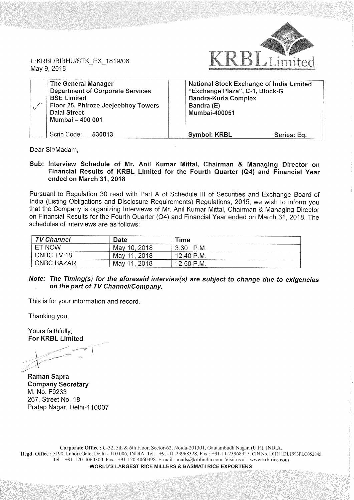

E:KRBL/BIBHU/STK\_EX\_1819/06 May 9, 2018

| <b>The General Manager</b><br><b>Department of Corporate Services</b><br><b>BSE Limited</b><br>Floor 25, Phiroze Jeejeebhoy Towers<br><b>Dalal Street</b><br>Mumbai - 400 001 | National Stock Exchange of India Limited<br>"Exchange Plaza", C-1, Block-G<br><b>Bandra-Kurla Complex</b><br>Bandra (E)<br>Mumbai-400051 |  |
|-------------------------------------------------------------------------------------------------------------------------------------------------------------------------------|------------------------------------------------------------------------------------------------------------------------------------------|--|
| Scrip Code:<br>530813                                                                                                                                                         | <b>Symbol: KRBL</b><br>Series: Eq.                                                                                                       |  |

Dear Sir/Madam,

Sub: Interview Schedule of Mr. Anil Kumar Mittal, Chairman & Managing Director on Financial Results of KRBL Limited for the Fourth Quarter (Q4) and Financial Year ended on March 31, 2018

Pursuant to Regulation 30 read with Part A of Schedule III of Securities and Exchange Board of India (Listing Obligations and Disclosure Requirements) Regulations, 2015, we wish to inform you that the Company is organizing Interviews of Mr. Anil Kumar Mittal, Chairman & Managing Director on Financial Results for the Fourth Quarter (Q4) and Financial Year ended on March 31, 2018. The schedules of interviews are as follows:

| <b>TV Channel</b> | Date           | Time         |  |
|-------------------|----------------|--------------|--|
| ET NOW            | May 10, 2018   | P.M.<br>3.30 |  |
| CNBC TV 18        | May 11, 2018   | 12.40 P.M.   |  |
| <b>CNBC BAZAR</b> | 11.2018<br>Mav | 12.50 P.M.   |  |

## Note: The Timing(s) for the aforesaid interview(s) are subject to change due to exigencies on the part of TV Channel/Company.

This is for your information and record.

Thanking you,

Yours faithfully, For KRBL Limited

Raman Sapra Company Secretary M. No. F9233 267, Street No. 18 Pratap Nagar, Delhi-110007